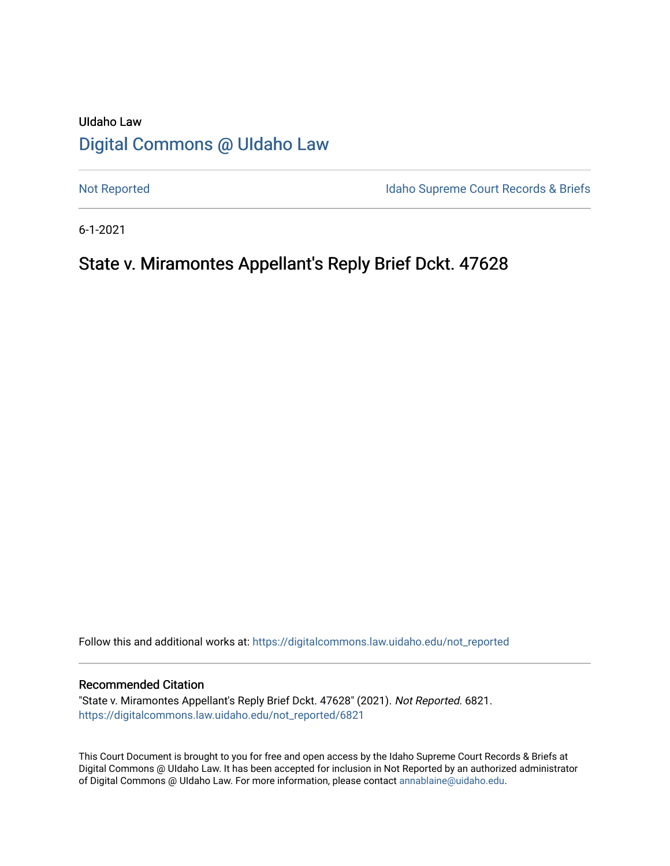# UIdaho Law [Digital Commons @ UIdaho Law](https://digitalcommons.law.uidaho.edu/)

[Not Reported](https://digitalcommons.law.uidaho.edu/not_reported) **Idaho Supreme Court Records & Briefs** 

6-1-2021

# State v. Miramontes Appellant's Reply Brief Dckt. 47628

Follow this and additional works at: [https://digitalcommons.law.uidaho.edu/not\\_reported](https://digitalcommons.law.uidaho.edu/not_reported?utm_source=digitalcommons.law.uidaho.edu%2Fnot_reported%2F6821&utm_medium=PDF&utm_campaign=PDFCoverPages) 

#### Recommended Citation

"State v. Miramontes Appellant's Reply Brief Dckt. 47628" (2021). Not Reported. 6821. [https://digitalcommons.law.uidaho.edu/not\\_reported/6821](https://digitalcommons.law.uidaho.edu/not_reported/6821?utm_source=digitalcommons.law.uidaho.edu%2Fnot_reported%2F6821&utm_medium=PDF&utm_campaign=PDFCoverPages)

This Court Document is brought to you for free and open access by the Idaho Supreme Court Records & Briefs at Digital Commons @ UIdaho Law. It has been accepted for inclusion in Not Reported by an authorized administrator of Digital Commons @ UIdaho Law. For more information, please contact [annablaine@uidaho.edu](mailto:annablaine@uidaho.edu).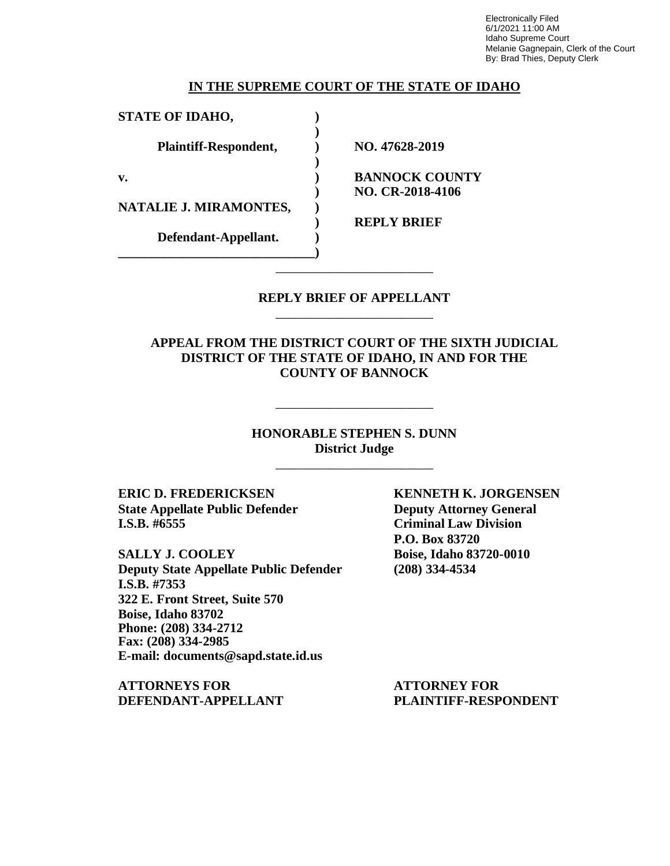Electronically Filed 6/1/2021 11:00 AM Idaho Supreme Court Melanie Gagnepain, Clerk of the Court By: Brad Thies, Deputy Clerk

#### **IN THE SUPREME COURT OF THE STATE OF IDAHO**

**)**

**)**

**STATE OF IDAHO, )**

**Plaintiff-Respondent, ) NO. 47628-2019**

**NATALIE J. MIRAMONTES, )**

**Defendant-Appellant. ) \_\_\_\_\_\_\_\_\_\_\_\_\_\_\_\_\_\_\_\_\_\_\_\_\_\_\_\_\_\_)**

**v. ) BANNOCK COUNTY ) NO. CR-2018-4106**

**) REPLY BRIEF**

### **REPLY BRIEF OF APPELLANT** \_\_\_\_\_\_\_\_\_\_\_\_\_\_\_\_\_\_\_\_\_\_\_\_

\_\_\_\_\_\_\_\_\_\_\_\_\_\_\_\_\_\_\_\_\_\_\_\_

**APPEAL FROM THE DISTRICT COURT OF THE SIXTH JUDICIAL DISTRICT OF THE STATE OF IDAHO, IN AND FOR THE COUNTY OF BANNOCK**

> **HONORABLE STEPHEN S. DUNN District Judge**

> > \_\_\_\_\_\_\_\_\_\_\_\_\_\_\_\_\_\_\_\_\_\_\_\_

\_\_\_\_\_\_\_\_\_\_\_\_\_\_\_\_\_\_\_\_\_\_\_\_

**ERIC D. FREDERICKSEN KENNETH K. JORGENSEN State Appellate Public Defender Deputy Attorney General I.S.B. #6555 Criminal Law Division**

**SALLY J. COOLEY Boise, Idaho 83720-0010 Deputy State Appellate Public Defender (208) 334-4534 I.S.B. #7353 322 E. Front Street, Suite 570 Boise, Idaho 83702 Phone: (208) 334-2712 Fax: (208) 334-2985 E-mail: documents@sapd.state.id.us**

**ATTORNEYS FOR ATTORNEY FOR DEFENDANT-APPELLANT PLAINTIFF-RESPONDENT**

**P.O. Box 83720**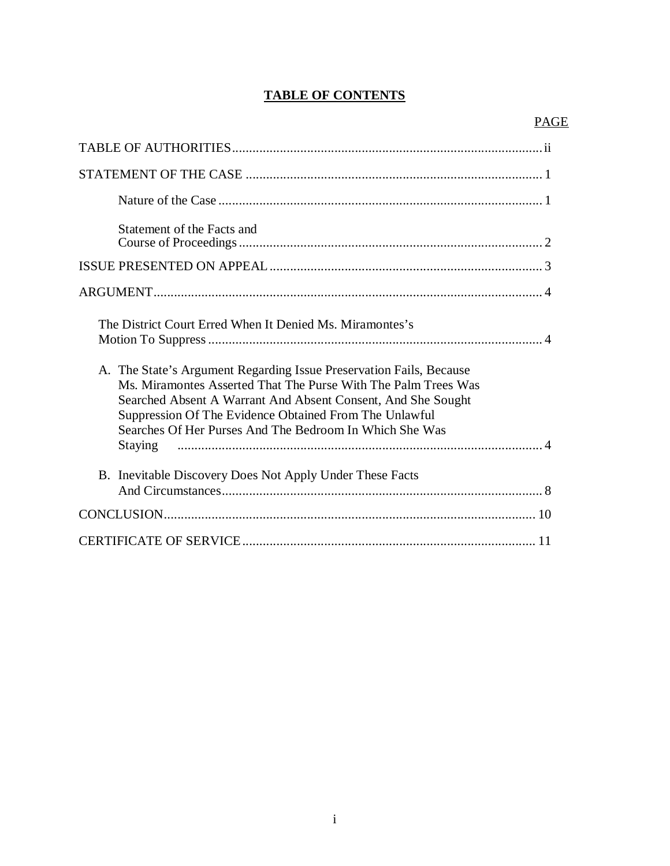## **TABLE OF CONTENTS**

| Statement of the Facts and                                                                                                                                                                                                                                                                                                 |
|----------------------------------------------------------------------------------------------------------------------------------------------------------------------------------------------------------------------------------------------------------------------------------------------------------------------------|
|                                                                                                                                                                                                                                                                                                                            |
|                                                                                                                                                                                                                                                                                                                            |
| The District Court Erred When It Denied Ms. Miramontes's                                                                                                                                                                                                                                                                   |
| A. The State's Argument Regarding Issue Preservation Fails, Because<br>Ms. Miramontes Asserted That The Purse With The Palm Trees Was<br>Searched Absent A Warrant And Absent Consent, And She Sought<br>Suppression Of The Evidence Obtained From The Unlawful<br>Searches Of Her Purses And The Bedroom In Which She Was |
|                                                                                                                                                                                                                                                                                                                            |
| B. Inevitable Discovery Does Not Apply Under These Facts                                                                                                                                                                                                                                                                   |
|                                                                                                                                                                                                                                                                                                                            |
|                                                                                                                                                                                                                                                                                                                            |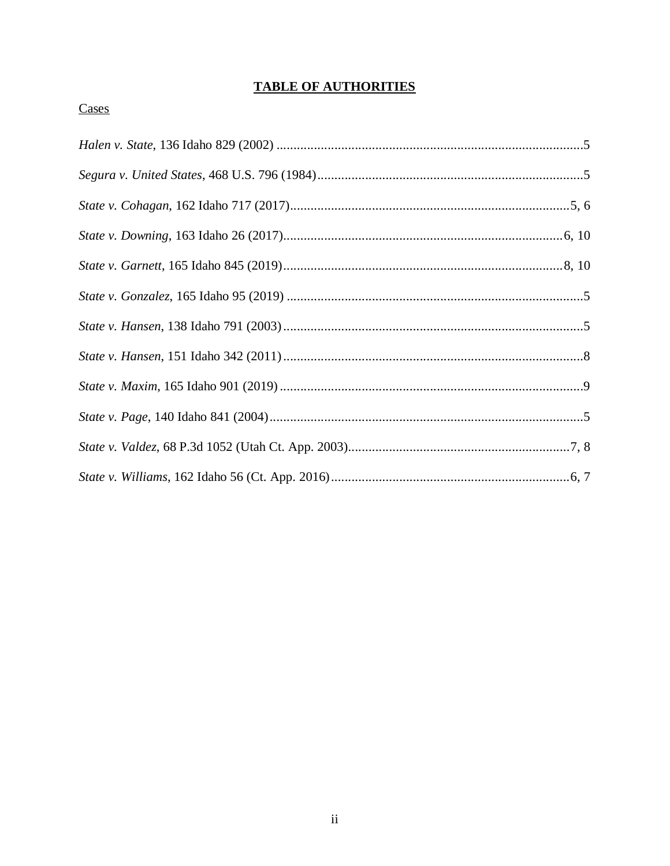## **TABLE OF AUTHORITIES**

### Cases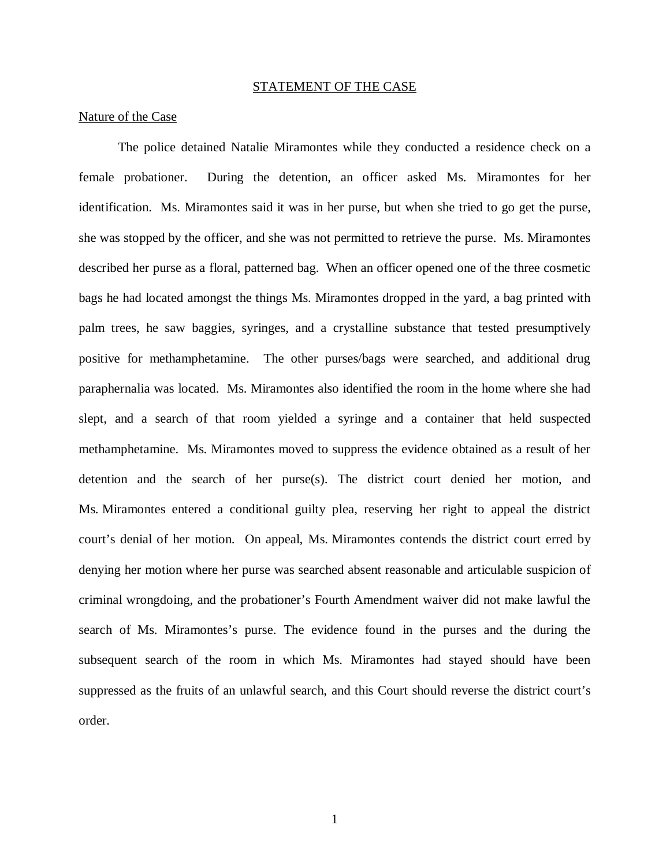#### STATEMENT OF THE CASE

#### Nature of the Case

The police detained Natalie Miramontes while they conducted a residence check on a female probationer. During the detention, an officer asked Ms. Miramontes for her identification. Ms. Miramontes said it was in her purse, but when she tried to go get the purse, she was stopped by the officer, and she was not permitted to retrieve the purse. Ms. Miramontes described her purse as a floral, patterned bag. When an officer opened one of the three cosmetic bags he had located amongst the things Ms. Miramontes dropped in the yard, a bag printed with palm trees, he saw baggies, syringes, and a crystalline substance that tested presumptively positive for methamphetamine. The other purses/bags were searched, and additional drug paraphernalia was located. Ms. Miramontes also identified the room in the home where she had slept, and a search of that room yielded a syringe and a container that held suspected methamphetamine. Ms. Miramontes moved to suppress the evidence obtained as a result of her detention and the search of her purse(s). The district court denied her motion, and Ms. Miramontes entered a conditional guilty plea, reserving her right to appeal the district court's denial of her motion. On appeal, Ms. Miramontes contends the district court erred by denying her motion where her purse was searched absent reasonable and articulable suspicion of criminal wrongdoing, and the probationer's Fourth Amendment waiver did not make lawful the search of Ms. Miramontes's purse. The evidence found in the purses and the during the subsequent search of the room in which Ms. Miramontes had stayed should have been suppressed as the fruits of an unlawful search, and this Court should reverse the district court's order.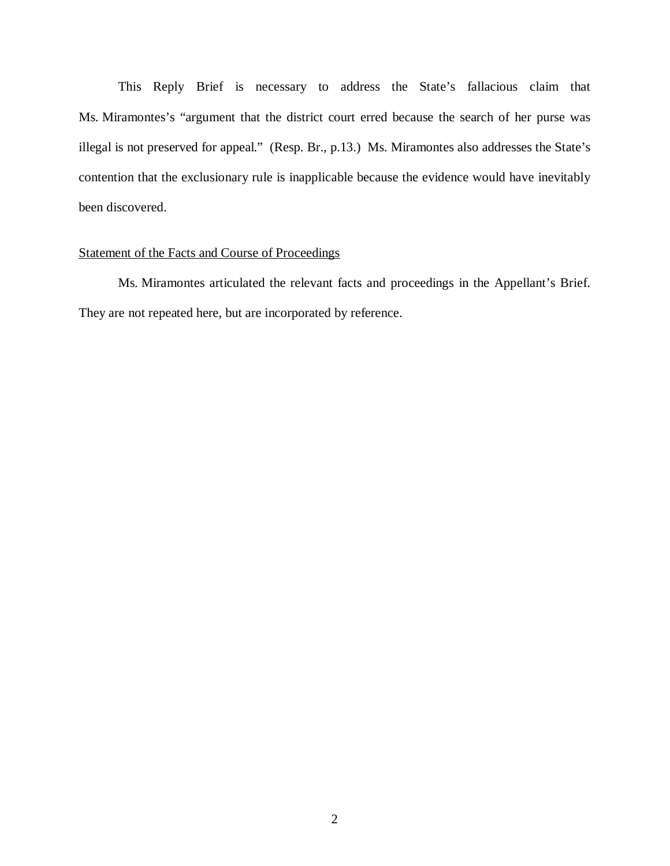This Reply Brief is necessary to address the State's fallacious claim that Ms. Miramontes's "argument that the district court erred because the search of her purse was illegal is not preserved for appeal." (Resp. Br., p.13.) Ms. Miramontes also addresses the State's contention that the exclusionary rule is inapplicable because the evidence would have inevitably been discovered.

### Statement of the Facts and Course of Proceedings

Ms. Miramontes articulated the relevant facts and proceedings in the Appellant's Brief. They are not repeated here, but are incorporated by reference.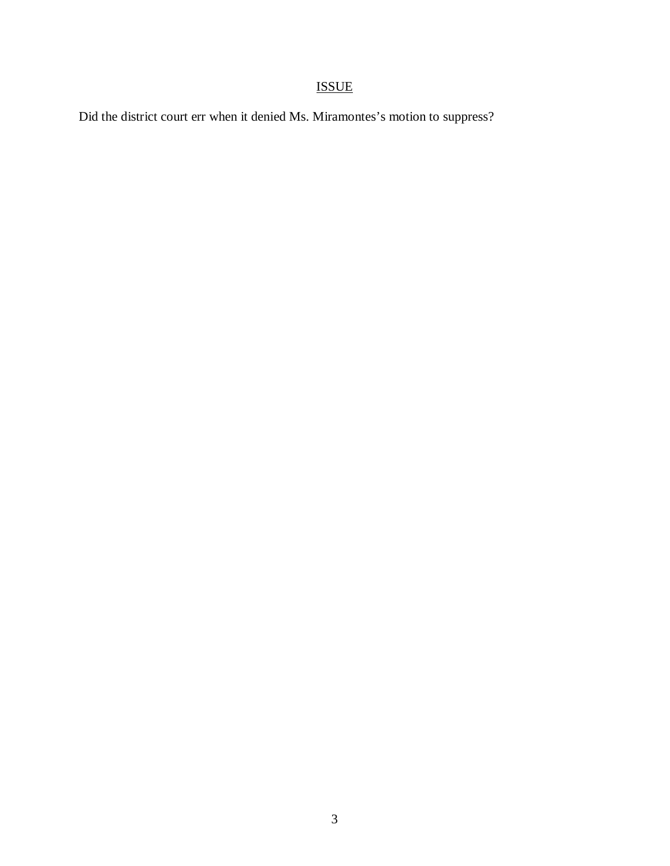# ISSUE

Did the district court err when it denied Ms. Miramontes's motion to suppress?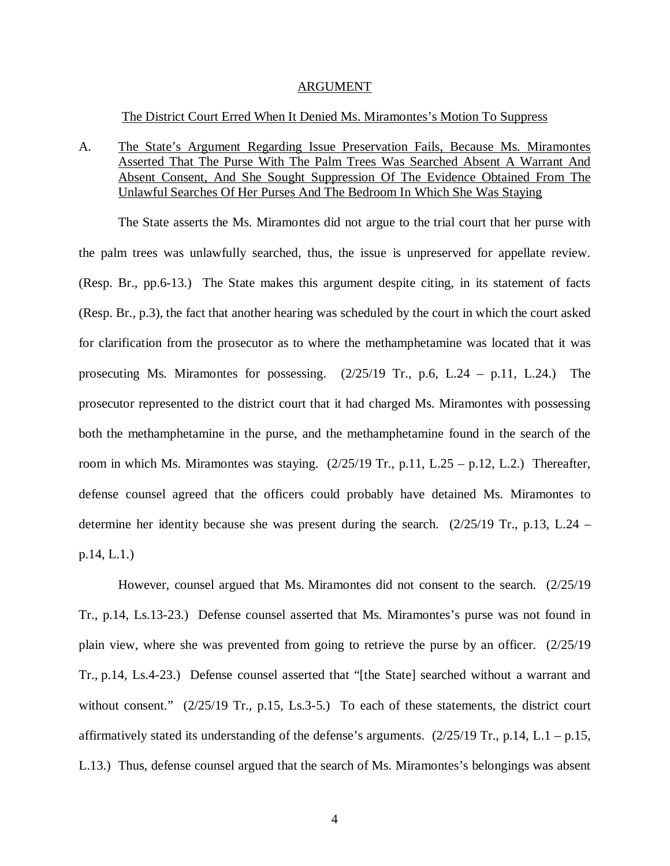#### ARGUMENT

#### The District Court Erred When It Denied Ms. Miramontes's Motion To Suppress

A. The State's Argument Regarding Issue Preservation Fails, Because Ms. Miramontes Asserted That The Purse With The Palm Trees Was Searched Absent A Warrant And Absent Consent, And She Sought Suppression Of The Evidence Obtained From The Unlawful Searches Of Her Purses And The Bedroom In Which She Was Staying

The State asserts the Ms. Miramontes did not argue to the trial court that her purse with the palm trees was unlawfully searched, thus, the issue is unpreserved for appellate review. (Resp. Br., pp.6-13.) The State makes this argument despite citing, in its statement of facts (Resp. Br., p.3), the fact that another hearing was scheduled by the court in which the court asked for clarification from the prosecutor as to where the methamphetamine was located that it was prosecuting Ms. Miramontes for possessing. (2/25/19 Tr., p.6, L.24 – p.11, L.24.) The prosecutor represented to the district court that it had charged Ms. Miramontes with possessing both the methamphetamine in the purse, and the methamphetamine found in the search of the room in which Ms. Miramontes was staying.  $(2/25/19 \text{ Tr.}, p.11, L.25 - p.12, L.2)$  Thereafter, defense counsel agreed that the officers could probably have detained Ms. Miramontes to determine her identity because she was present during the search. (2/25/19 Tr., p.13, L.24 – p.14, L.1.)

However, counsel argued that Ms. Miramontes did not consent to the search. (2/25/19 Tr., p.14, Ls.13-23.) Defense counsel asserted that Ms. Miramontes's purse was not found in plain view, where she was prevented from going to retrieve the purse by an officer. (2/25/19 Tr., p.14, Ls.4-23.) Defense counsel asserted that "[the State] searched without a warrant and without consent." (2/25/19 Tr., p.15, Ls.3-5.) To each of these statements, the district court affirmatively stated its understanding of the defense's arguments.  $(2/25/19$  Tr., p.14, L.1 – p.15, L.13.) Thus, defense counsel argued that the search of Ms. Miramontes's belongings was absent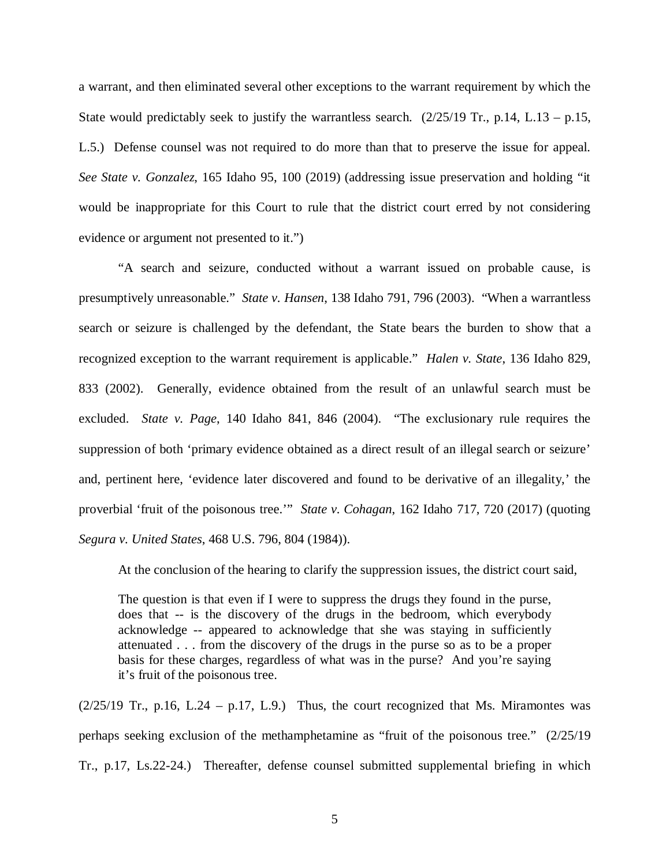a warrant, and then eliminated several other exceptions to the warrant requirement by which the State would predictably seek to justify the warrantless search.  $(2/25/19 \text{ Tr}., p.14, L.13 - p.15,$ L.5.) Defense counsel was not required to do more than that to preserve the issue for appeal. *See State v. Gonzalez*, 165 Idaho 95, 100 (2019) (addressing issue preservation and holding "it would be inappropriate for this Court to rule that the district court erred by not considering evidence or argument not presented to it.")

"A search and seizure, conducted without a warrant issued on probable cause, is presumptively unreasonable." *State v. Hansen*, 138 Idaho 791, 796 (2003). "When a warrantless search or seizure is challenged by the defendant, the State bears the burden to show that a recognized exception to the warrant requirement is applicable." *Halen v. State*, 136 Idaho 829, 833 (2002). Generally, evidence obtained from the result of an unlawful search must be excluded. *State v. Page*, 140 Idaho 841, 846 (2004). "The exclusionary rule requires the suppression of both 'primary evidence obtained as a direct result of an illegal search or seizure' and, pertinent here, 'evidence later discovered and found to be derivative of an illegality,' the proverbial 'fruit of the poisonous tree.'" *State v. Cohagan*, 162 Idaho 717, 720 (2017) (quoting *Segura v. United States*, 468 U.S. 796, 804 (1984)).

At the conclusion of the hearing to clarify the suppression issues, the district court said,

The question is that even if I were to suppress the drugs they found in the purse, does that -- is the discovery of the drugs in the bedroom, which everybody acknowledge -- appeared to acknowledge that she was staying in sufficiently attenuated . . . from the discovery of the drugs in the purse so as to be a proper basis for these charges, regardless of what was in the purse? And you're saying it's fruit of the poisonous tree.

 $(2/25/19$  Tr., p.16, L.24 – p.17, L.9.) Thus, the court recognized that Ms. Miramontes was perhaps seeking exclusion of the methamphetamine as "fruit of the poisonous tree." (2/25/19 Tr., p.17, Ls.22-24.) Thereafter, defense counsel submitted supplemental briefing in which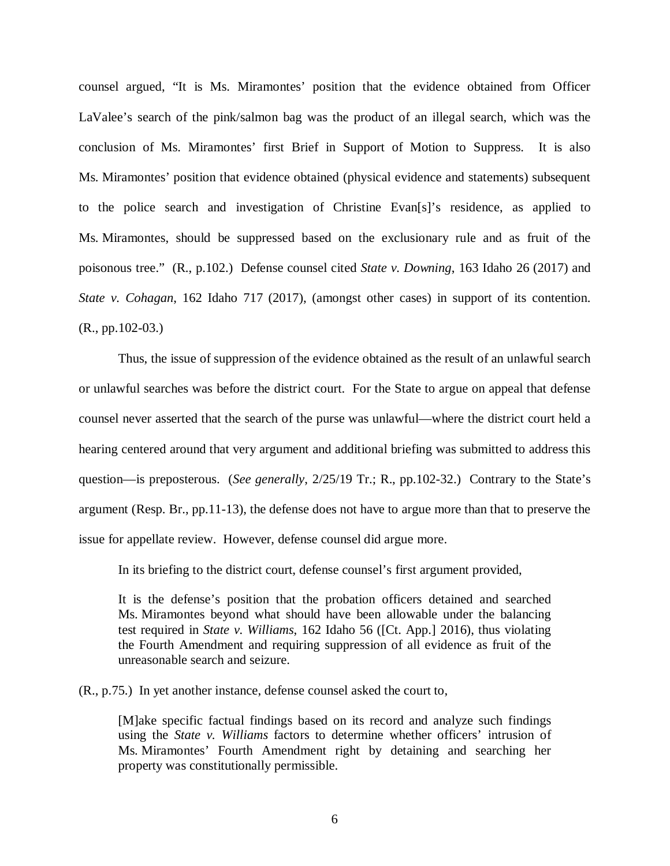counsel argued, "It is Ms. Miramontes' position that the evidence obtained from Officer LaValee's search of the pink/salmon bag was the product of an illegal search, which was the conclusion of Ms. Miramontes' first Brief in Support of Motion to Suppress. It is also Ms. Miramontes' position that evidence obtained (physical evidence and statements) subsequent to the police search and investigation of Christine Evan[s]'s residence, as applied to Ms. Miramontes, should be suppressed based on the exclusionary rule and as fruit of the poisonous tree." (R., p.102.) Defense counsel cited *State v. Downing*, 163 Idaho 26 (2017) and *State v. Cohagan*, 162 Idaho 717 (2017), (amongst other cases) in support of its contention. (R., pp.102-03.)

Thus, the issue of suppression of the evidence obtained as the result of an unlawful search or unlawful searches was before the district court. For the State to argue on appeal that defense counsel never asserted that the search of the purse was unlawful—where the district court held a hearing centered around that very argument and additional briefing was submitted to address this question—is preposterous. (*See generally*, 2/25/19 Tr.; R., pp.102-32.) Contrary to the State's argument (Resp. Br., pp.11-13), the defense does not have to argue more than that to preserve the issue for appellate review. However, defense counsel did argue more.

In its briefing to the district court, defense counsel's first argument provided,

It is the defense's position that the probation officers detained and searched Ms. Miramontes beyond what should have been allowable under the balancing test required in *State v. Williams*, 162 Idaho 56 ([Ct. App.] 2016), thus violating the Fourth Amendment and requiring suppression of all evidence as fruit of the unreasonable search and seizure.

(R., p.75.) In yet another instance, defense counsel asked the court to,

[M]ake specific factual findings based on its record and analyze such findings using the *State v. Williams* factors to determine whether officers' intrusion of Ms. Miramontes' Fourth Amendment right by detaining and searching her property was constitutionally permissible.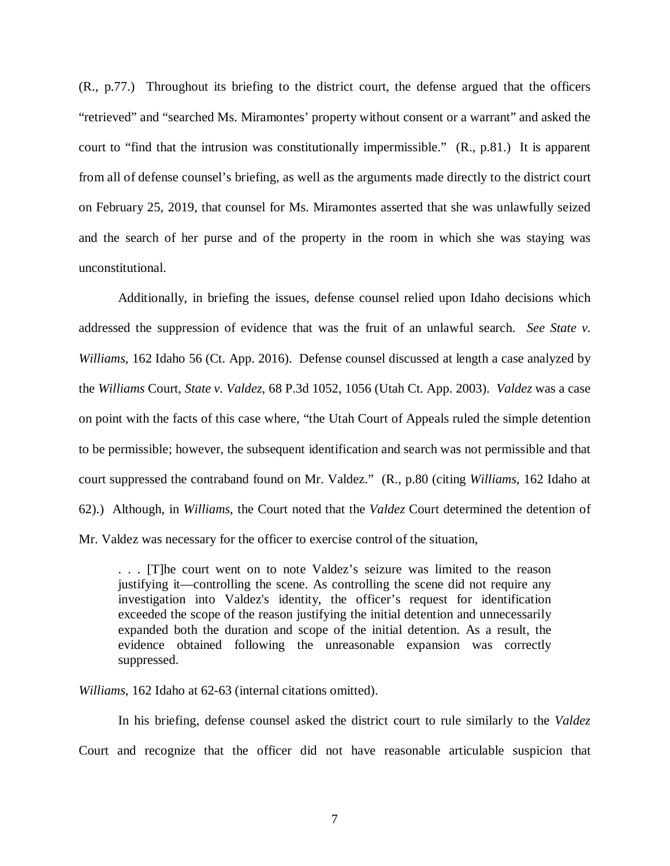(R., p.77.) Throughout its briefing to the district court, the defense argued that the officers "retrieved" and "searched Ms. Miramontes' property without consent or a warrant" and asked the court to "find that the intrusion was constitutionally impermissible." (R., p.81.) It is apparent from all of defense counsel's briefing, as well as the arguments made directly to the district court on February 25, 2019, that counsel for Ms. Miramontes asserted that she was unlawfully seized and the search of her purse and of the property in the room in which she was staying was unconstitutional.

Additionally, in briefing the issues, defense counsel relied upon Idaho decisions which addressed the suppression of evidence that was the fruit of an unlawful search. *See State v. Williams*, 162 Idaho 56 (Ct. App. 2016). Defense counsel discussed at length a case analyzed by the *Williams* Court, *State v. Valdez*, 68 P.3d 1052, 1056 (Utah Ct. App. 2003). *Valdez* was a case on point with the facts of this case where, "the Utah Court of Appeals ruled the simple detention to be permissible; however, the subsequent identification and search was not permissible and that court suppressed the contraband found on Mr. Valdez." (R., p.80 (citing *Williams*, 162 Idaho at 62).) Although, in *Williams*, the Court noted that the *Valdez* Court determined the detention of Mr. Valdez was necessary for the officer to exercise control of the situation,

. . . [T]he court went on to note Valdez's seizure was limited to the reason justifying it—controlling the scene. As controlling the scene did not require any investigation into Valdez's identity, the officer's request for identification exceeded the scope of the reason justifying the initial detention and unnecessarily expanded both the duration and scope of the initial detention. As a result, the evidence obtained following the unreasonable expansion was correctly suppressed.

*Williams*, 162 Idaho at 62-63 (internal citations omitted).

In his briefing, defense counsel asked the district court to rule similarly to the *Valdez* Court and recognize that the officer did not have reasonable articulable suspicion that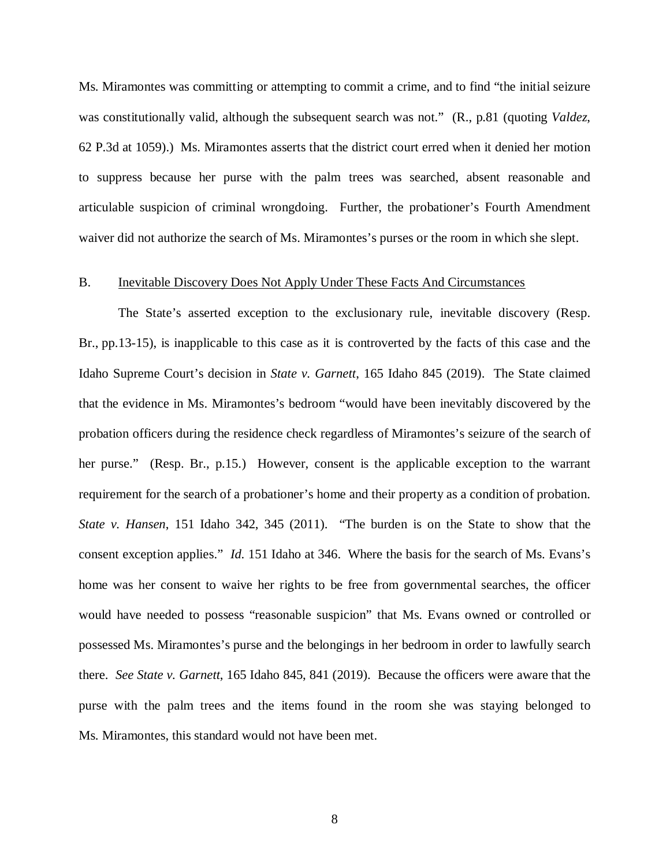Ms. Miramontes was committing or attempting to commit a crime, and to find "the initial seizure was constitutionally valid, although the subsequent search was not." (R., p.81 (quoting *Valdez*, 62 P.3d at 1059).) Ms. Miramontes asserts that the district court erred when it denied her motion to suppress because her purse with the palm trees was searched, absent reasonable and articulable suspicion of criminal wrongdoing. Further, the probationer's Fourth Amendment waiver did not authorize the search of Ms. Miramontes's purses or the room in which she slept.

#### B. Inevitable Discovery Does Not Apply Under These Facts And Circumstances

The State's asserted exception to the exclusionary rule, inevitable discovery (Resp. Br., pp.13-15), is inapplicable to this case as it is controverted by the facts of this case and the Idaho Supreme Court's decision in *State v. Garnett*, 165 Idaho 845 (2019). The State claimed that the evidence in Ms. Miramontes's bedroom "would have been inevitably discovered by the probation officers during the residence check regardless of Miramontes's seizure of the search of her purse." (Resp. Br., p.15.) However, consent is the applicable exception to the warrant requirement for the search of a probationer's home and their property as a condition of probation. *State v. Hansen*, 151 Idaho 342, 345 (2011). "The burden is on the State to show that the consent exception applies." *Id*. 151 Idaho at 346. Where the basis for the search of Ms. Evans's home was her consent to waive her rights to be free from governmental searches, the officer would have needed to possess "reasonable suspicion" that Ms. Evans owned or controlled or possessed Ms. Miramontes's purse and the belongings in her bedroom in order to lawfully search there. *See State v. Garnett*, 165 Idaho 845, 841 (2019). Because the officers were aware that the purse with the palm trees and the items found in the room she was staying belonged to Ms. Miramontes, this standard would not have been met.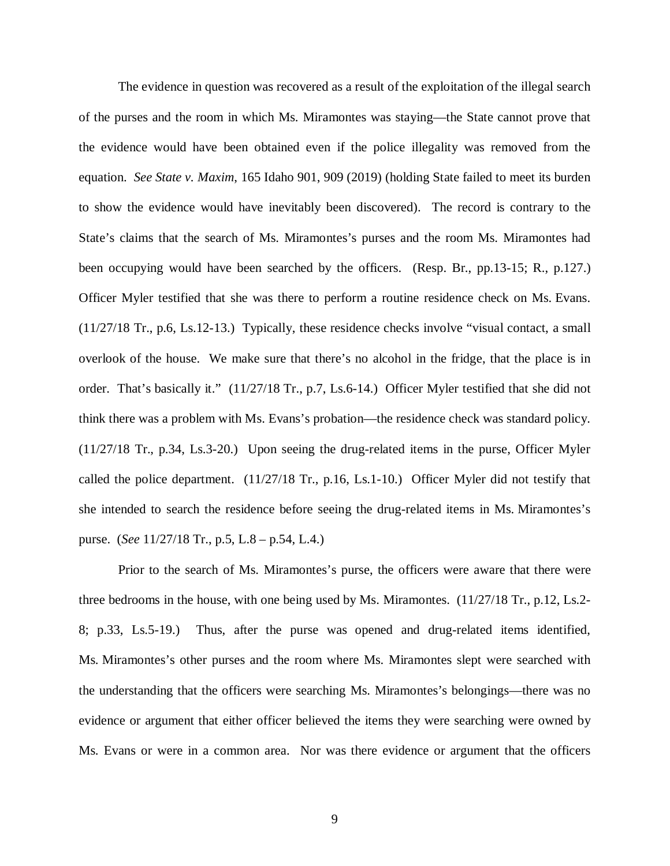The evidence in question was recovered as a result of the exploitation of the illegal search of the purses and the room in which Ms. Miramontes was staying—the State cannot prove that the evidence would have been obtained even if the police illegality was removed from the equation. *See State v. Maxim*, 165 Idaho 901, 909 (2019) (holding State failed to meet its burden to show the evidence would have inevitably been discovered). The record is contrary to the State's claims that the search of Ms. Miramontes's purses and the room Ms. Miramontes had been occupying would have been searched by the officers. (Resp. Br., pp.13-15; R., p.127.) Officer Myler testified that she was there to perform a routine residence check on Ms. Evans. (11/27/18 Tr., p.6, Ls.12-13.) Typically, these residence checks involve "visual contact, a small overlook of the house. We make sure that there's no alcohol in the fridge, that the place is in order. That's basically it." (11/27/18 Tr., p.7, Ls.6-14.) Officer Myler testified that she did not think there was a problem with Ms. Evans's probation—the residence check was standard policy. (11/27/18 Tr., p.34, Ls.3-20.) Upon seeing the drug-related items in the purse, Officer Myler called the police department. (11/27/18 Tr., p.16, Ls.1-10.) Officer Myler did not testify that she intended to search the residence before seeing the drug-related items in Ms. Miramontes's purse. (*See* 11/27/18 Tr., p.5, L.8 – p.54, L.4.)

Prior to the search of Ms. Miramontes's purse, the officers were aware that there were three bedrooms in the house, with one being used by Ms. Miramontes. (11/27/18 Tr., p.12, Ls.2- 8; p.33, Ls.5-19.) Thus, after the purse was opened and drug-related items identified, Ms. Miramontes's other purses and the room where Ms. Miramontes slept were searched with the understanding that the officers were searching Ms. Miramontes's belongings—there was no evidence or argument that either officer believed the items they were searching were owned by Ms. Evans or were in a common area. Nor was there evidence or argument that the officers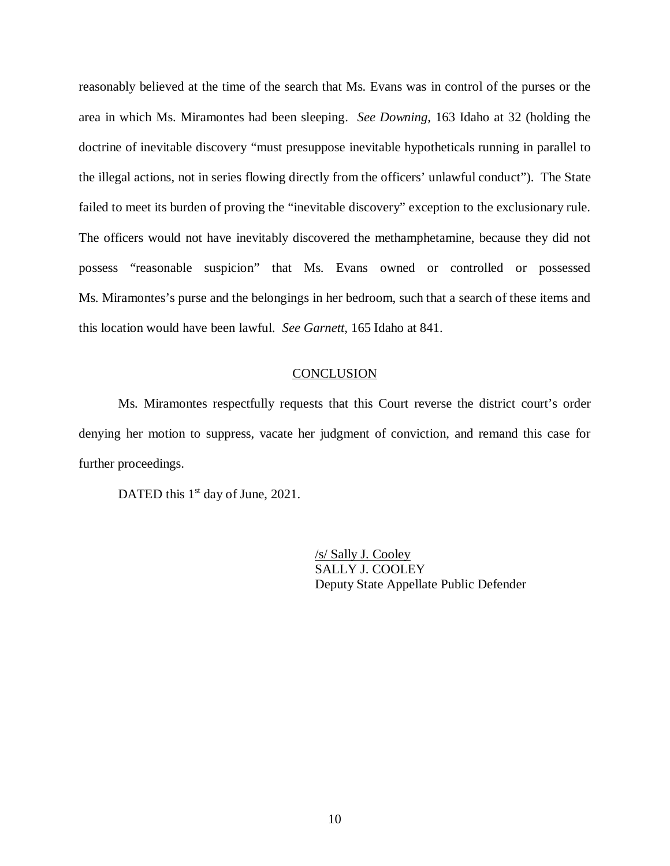reasonably believed at the time of the search that Ms. Evans was in control of the purses or the area in which Ms. Miramontes had been sleeping. *See Downing*, 163 Idaho at 32 (holding the doctrine of inevitable discovery "must presuppose inevitable hypotheticals running in parallel to the illegal actions, not in series flowing directly from the officers' unlawful conduct"). The State failed to meet its burden of proving the "inevitable discovery" exception to the exclusionary rule. The officers would not have inevitably discovered the methamphetamine, because they did not possess "reasonable suspicion" that Ms. Evans owned or controlled or possessed Ms. Miramontes's purse and the belongings in her bedroom, such that a search of these items and this location would have been lawful. *See Garnett*, 165 Idaho at 841.

#### **CONCLUSION**

Ms. Miramontes respectfully requests that this Court reverse the district court's order denying her motion to suppress, vacate her judgment of conviction, and remand this case for further proceedings.

DATED this 1<sup>st</sup> day of June, 2021.

/s/ Sally J. Cooley SALLY J. COOLEY Deputy State Appellate Public Defender